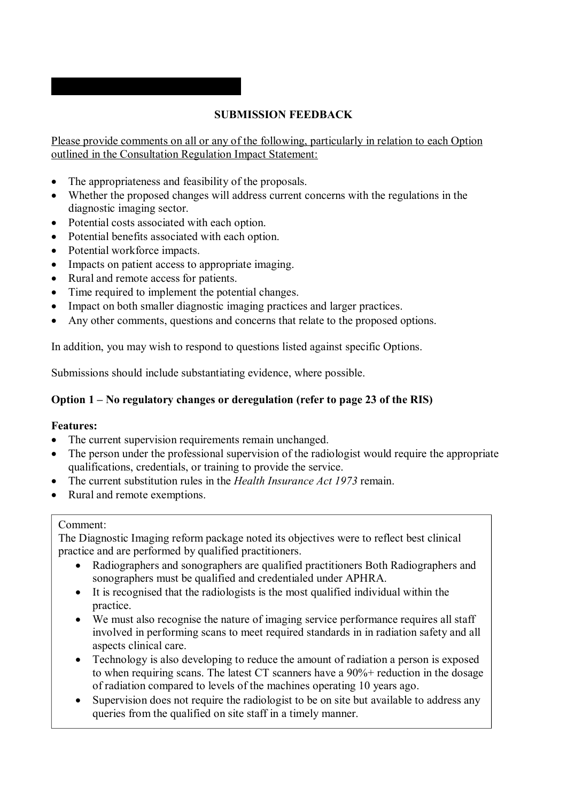# **SUBMISSION FEEDBACK**

Please provide comments on all or any of the following, particularly in relation to each Option outlined in the Consultation Regulation Impact Statement:

- The appropriateness and feasibility of the proposals.
- Whether the proposed changes will address current concerns with the regulations in the diagnostic imaging sector.
- Potential costs associated with each option.

**'''''''''''''''' ''''''''''''' ''''''''''''''** 

- Potential benefits associated with each option.
- Potential workforce impacts.
- Impacts on patient access to appropriate imaging.
- Rural and remote access for patients.
- Time required to implement the potential changes.
- Impact on both smaller diagnostic imaging practices and larger practices.
- Any other comments, questions and concerns that relate to the proposed options.

In addition, you may wish to respond to questions listed against specific Options.

Submissions should include substantiating evidence, where possible.

## **Option 1 – No regulatory changes or deregulation (refer to page 23 of the RIS)**

#### **Features:**

- The current supervision requirements remain unchanged.
- The person under the professional supervision of the radiologist would require the appropriate qualifications, credentials, or training to provide the service.
- The current substitution rules in the *Health Insurance Act 1973* remain.
- Rural and remote exemptions.

#### Comment:

The Diagnostic Imaging reform package noted its objectives were to reflect best clinical practice and are performed by qualified practitioners.

- Radiographers and sonographers are qualified practitioners Both Radiographers and sonographers must be qualified and credentialed under APHRA.
- It is recognised that the radiologists is the most qualified individual within the practice.
- We must also recognise the nature of imaging service performance requires all staff involved in performing scans to meet required standards in in radiation safety and all aspects clinical care.
- Technology is also developing to reduce the amount of radiation a person is exposed to when requiring scans. The latest CT scanners have a 90%+ reduction in the dosage of radiation compared to levels of the machines operating 10 years ago.
- Supervision does not require the radiologist to be on site but available to address any queries from the qualified on site staff in a timely manner.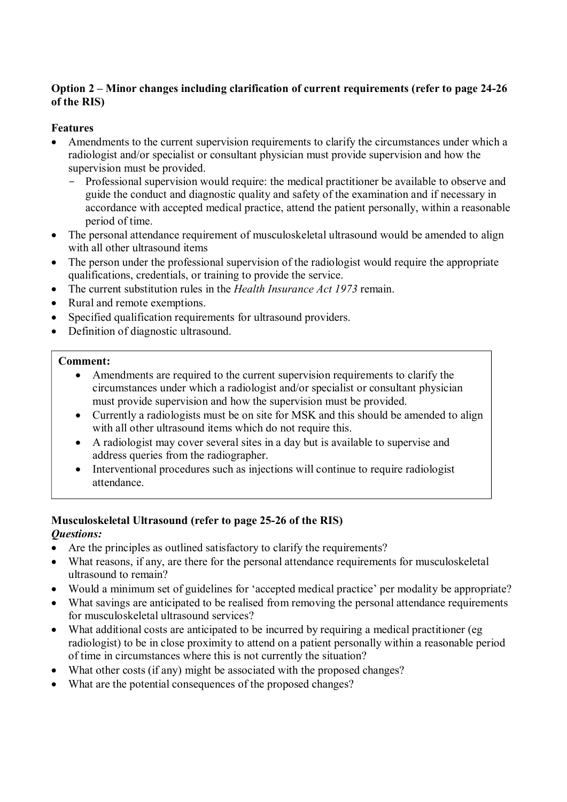### **Option 2 – Minor changes including clarification of current requirements (refer to page 24-26 of the RIS)**

## **Features**

- Amendments to the current supervision requirements to clarify the circumstances under which a radiologist and/or specialist or consultant physician must provide supervision and how the supervision must be provided.
	- Professional supervision would require: the medical practitioner be available to observe and guide the conduct and diagnostic quality and safety of the examination and if necessary in accordance with accepted medical practice, attend the patient personally, within a reasonable period of time.
- The personal attendance requirement of musculoskeletal ultrasound would be amended to align with all other ultrasound items
- The person under the professional supervision of the radiologist would require the appropriate qualifications, credentials, or training to provide the service.
- The current substitution rules in the *Health Insurance Act 1973* remain.
- Rural and remote exemptions.
- Specified qualification requirements for ultrasound providers.
- Definition of diagnostic ultrasound.

#### **Comment:**

- Amendments are required to the current supervision requirements to clarify the circumstances under which a radiologist and/or specialist or consultant physician must provide supervision and how the supervision must be provided.
- Currently a radiologists must be on site for MSK and this should be amended to align with all other ultrasound items which do not require this.
- A radiologist may cover several sites in a day but is available to supervise and address queries from the radiographer.
- Interventional procedures such as injections will continue to require radiologist attendance.

# **Musculoskeletal Ultrasound (refer to page 25-26 of the RIS)**

# *Questions:*

- Are the principles as outlined satisfactory to clarify the requirements?
- What reasons, if any, are there for the personal attendance requirements for musculoskeletal ultrasound to remain?
- Would a minimum set of guidelines for 'accepted medical practice' per modality be appropriate?
- What savings are anticipated to be realised from removing the personal attendance requirements for musculoskeletal ultrasound services?
- What additional costs are anticipated to be incurred by requiring a medical practitioner (eg radiologist) to be in close proximity to attend on a patient personally within a reasonable period of time in circumstances where this is not currently the situation?
- What other costs (if any) might be associated with the proposed changes?
- What are the potential consequences of the proposed changes?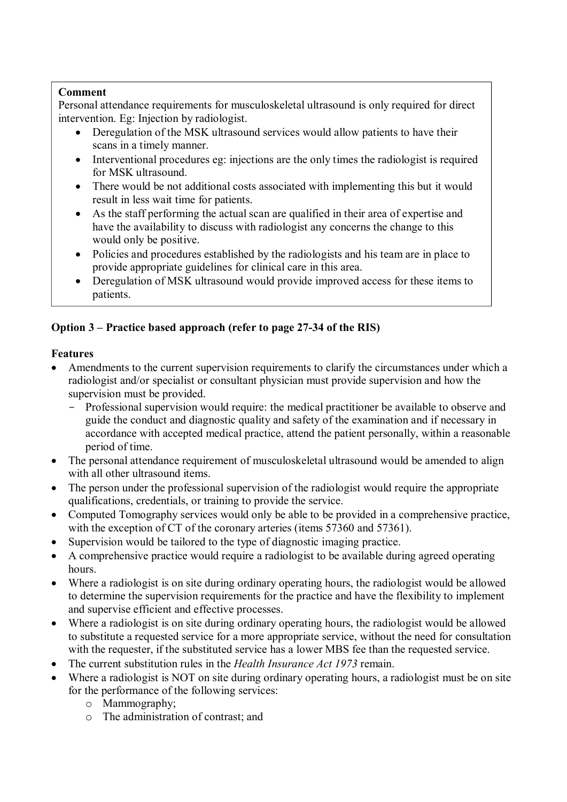## **Comment**

Personal attendance requirements for musculoskeletal ultrasound is only required for direct intervention. Eg: Injection by radiologist.

- Deregulation of the MSK ultrasound services would allow patients to have their scans in a timely manner.
- Interventional procedures eg: injections are the only times the radiologist is required for MSK ultrasound.
- There would be not additional costs associated with implementing this but it would result in less wait time for patients.
- As the staff performing the actual scan are qualified in their area of expertise and have the availability to discuss with radiologist any concerns the change to this would only be positive.
- Policies and procedures established by the radiologists and his team are in place to provide appropriate guidelines for clinical care in this area.
- Deregulation of MSK ultrasound would provide improved access for these items to patients.

# **Option 3 – Practice based approach (refer to page 27-34 of the RIS)**

## **Features**

- Amendments to the current supervision requirements to clarify the circumstances under which a radiologist and/or specialist or consultant physician must provide supervision and how the supervision must be provided.
	- Professional supervision would require: the medical practitioner be available to observe and guide the conduct and diagnostic quality and safety of the examination and if necessary in accordance with accepted medical practice, attend the patient personally, within a reasonable period of time.
- The personal attendance requirement of musculoskeletal ultrasound would be amended to align with all other ultrasound items.
- The person under the professional supervision of the radiologist would require the appropriate qualifications, credentials, or training to provide the service.
- Computed Tomography services would only be able to be provided in a comprehensive practice, with the exception of CT of the coronary arteries (items 57360 and 57361).
- Supervision would be tailored to the type of diagnostic imaging practice.
- A comprehensive practice would require a radiologist to be available during agreed operating hours.
- Where a radiologist is on site during ordinary operating hours, the radiologist would be allowed to determine the supervision requirements for the practice and have the flexibility to implement and supervise efficient and effective processes.
- Where a radiologist is on site during ordinary operating hours, the radiologist would be allowed to substitute a requested service for a more appropriate service, without the need for consultation with the requester, if the substituted service has a lower MBS fee than the requested service.
- The current substitution rules in the *Health Insurance Act 1973* remain.
- Where a radiologist is NOT on site during ordinary operating hours, a radiologist must be on site for the performance of the following services:
	- o Mammography;
	- o The administration of contrast; and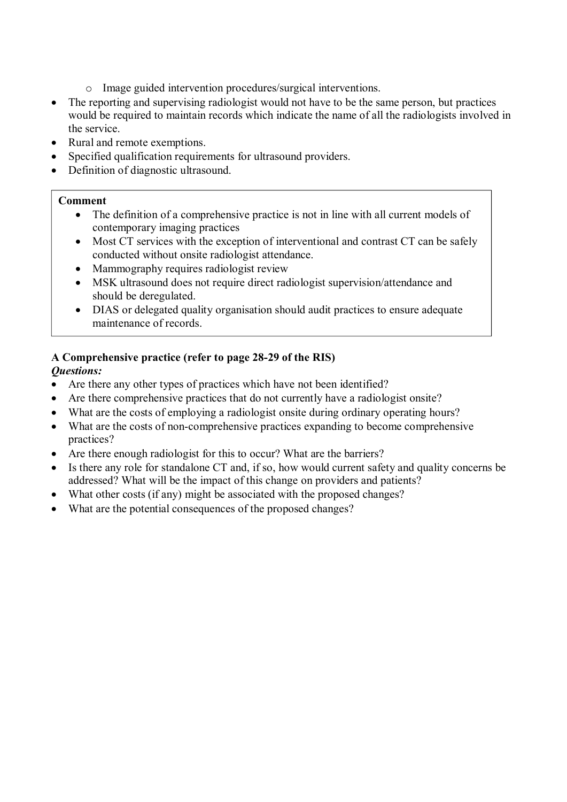- o Image guided intervention procedures/surgical interventions.
- The reporting and supervising radiologist would not have to be the same person, but practices would be required to maintain records which indicate the name of all the radiologists involved in the service.
- Rural and remote exemptions.
- Specified qualification requirements for ultrasound providers.
- Definition of diagnostic ultrasound.

#### **Comment**

- The definition of a comprehensive practice is not in line with all current models of contemporary imaging practices
- Most CT services with the exception of interventional and contrast CT can be safely conducted without onsite radiologist attendance.
- Mammography requires radiologist review
- MSK ultrasound does not require direct radiologist supervision/attendance and should be deregulated.
- DIAS or delegated quality organisation should audit practices to ensure adequate maintenance of records.

## **A Comprehensive practice (refer to page 28-29 of the RIS)**

## *Questions:*

- Are there any other types of practices which have not been identified?
- Are there comprehensive practices that do not currently have a radiologist onsite?
- What are the costs of employing a radiologist onsite during ordinary operating hours?
- What are the costs of non-comprehensive practices expanding to become comprehensive practices?
- Are there enough radiologist for this to occur? What are the barriers?
- Is there any role for standalone CT and, if so, how would current safety and quality concerns be addressed? What will be the impact of this change on providers and patients?
- What other costs (if any) might be associated with the proposed changes?
- What are the potential consequences of the proposed changes?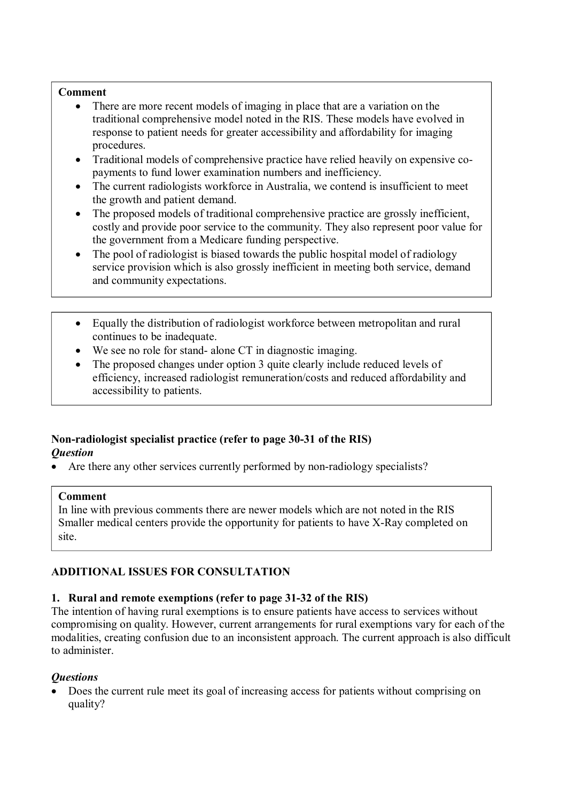#### **Comment**

- There are more recent models of imaging in place that are a variation on the traditional comprehensive model noted in the RIS. These models have evolved in response to patient needs for greater accessibility and affordability for imaging procedures.
- Traditional models of comprehensive practice have relied heavily on expensive copayments to fund lower examination numbers and inefficiency.
- The current radiologists workforce in Australia, we contend is insufficient to meet the growth and patient demand.
- The proposed models of traditional comprehensive practice are grossly inefficient, costly and provide poor service to the community. They also represent poor value for the government from a Medicare funding perspective.
- The pool of radiologist is biased towards the public hospital model of radiology service provision which is also grossly inefficient in meeting both service, demand and community expectations.
- Equally the distribution of radiologist workforce between metropolitan and rural continues to be inadequate.
- We see no role for stand- alone CT in diagnostic imaging.
- The proposed changes under option 3 quite clearly include reduced levels of efficiency, increased radiologist remuneration/costs and reduced affordability and accessibility to patients.

## **Non-radiologist specialist practice (refer to page 30-31 of the RIS)**  *Question*

Are there any other services currently performed by non-radiology specialists?

#### **Comment**

In line with previous comments there are newer models which are not noted in the RIS Smaller medical centers provide the opportunity for patients to have X-Ray completed on site.

#### **ADDITIONAL ISSUES FOR CONSULTATION**

#### **1. Rural and remote exemptions (refer to page 31-32 of the RIS)**

The intention of having rural exemptions is to ensure patients have access to services without compromising on quality. However, current arrangements for rural exemptions vary for each of the modalities, creating confusion due to an inconsistent approach. The current approach is also difficult to administer.

# *Questions*

 Does the current rule meet its goal of increasing access for patients without comprising on quality?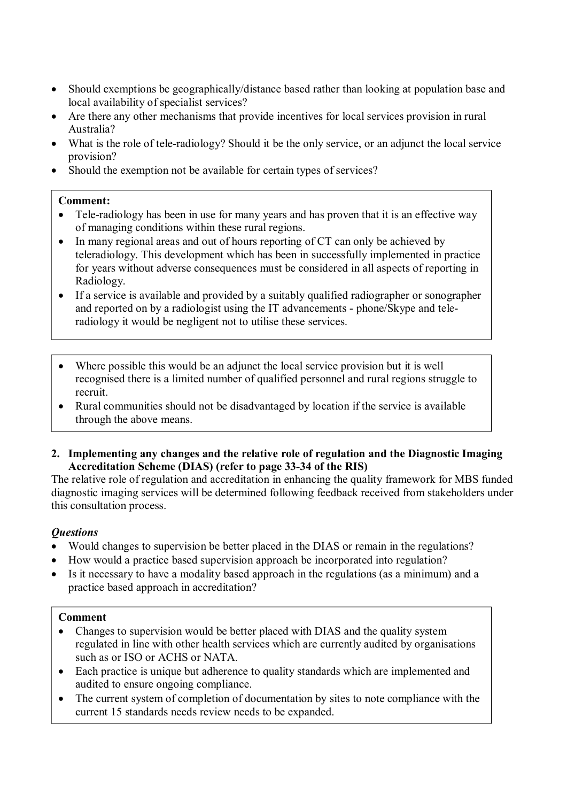- Should exemptions be geographically/distance based rather than looking at population base and local availability of specialist services?
- Are there any other mechanisms that provide incentives for local services provision in rural Australia?
- What is the role of tele-radiology? Should it be the only service, or an adjunct the local service provision?
- Should the exemption not be available for certain types of services?

#### **Comment:**

- Tele-radiology has been in use for many vears and has proven that it is an effective way of managing conditions within these rural regions.
- In many regional areas and out of hours reporting of CT can only be achieved by teleradiology. This development which has been in successfully implemented in practice for years without adverse consequences must be considered in all aspects of reporting in Radiology.
- If a service is available and provided by a suitably qualified radiographer or sonographer and reported on by a radiologist using the IT advancements - phone/Skype and teleradiology it would be negligent not to utilise these services.
- Where possible this would be an adjunct the local service provision but it is well recognised there is a limited number of qualified personnel and rural regions struggle to recruit.
- Rural communities should not be disadvantaged by location if the service is available through the above means.
- **2. Implementing any changes and the relative role of regulation and the Diagnostic Imaging Accreditation Scheme (DIAS) (refer to page 33-34 of the RIS)**

The relative role of regulation and accreditation in enhancing the quality framework for MBS funded diagnostic imaging services will be determined following feedback received from stakeholders under this consultation process.

# *Questions*

- Would changes to supervision be better placed in the DIAS or remain in the regulations?
- How would a practice based supervision approach be incorporated into regulation?
- Is it necessary to have a modality based approach in the regulations (as a minimum) and a practice based approach in accreditation?

#### **Comment**

- Changes to supervision would be better placed with DIAS and the quality system regulated in line with other health services which are currently audited by organisations such as or ISO or ACHS or NATA.
- Each practice is unique but adherence to quality standards which are implemented and audited to ensure ongoing compliance.
- The current system of completion of documentation by sites to note compliance with the current 15 standards needs review needs to be expanded.